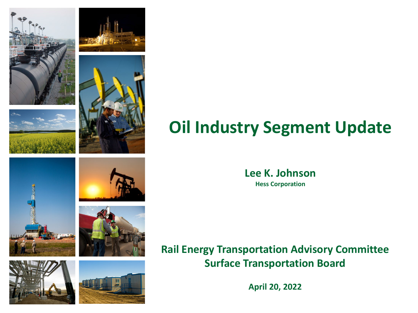













# **Oil Industry Segment Update**

**Lee K. Johnson Hess Corporation**

**Rail Energy Transportation Advisory Committee Surface Transportation Board**

**April 20, 2022**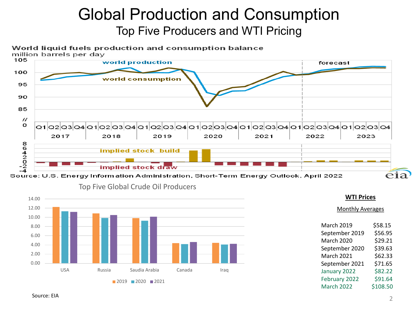## Global Production and Consumption Top Five Producers and WTI Pricing

### World liquid fuels production and consumption balance

million barrels per day



Source: U.S. Energy Information Administration, Short-Term Energy Outlook, April 2022



### Top Five Global Crude Oil Producers

### **WTI Prices**

Monthly Averages

| <b>March 2019</b> | \$58.15  |
|-------------------|----------|
| September 2019    | \$56.95  |
| March 2020        | \$29.21  |
| September 2020    | \$39.63  |
| <b>March 2021</b> | \$62.33  |
| September 2021    | \$71.65  |
| January 2022      | \$82.22  |
| February 2022     | \$91.64  |
| March 2022        | \$108.50 |
|                   |          |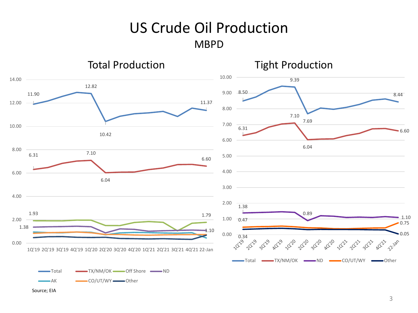### US Crude Oil Production MBPD



Source; EIA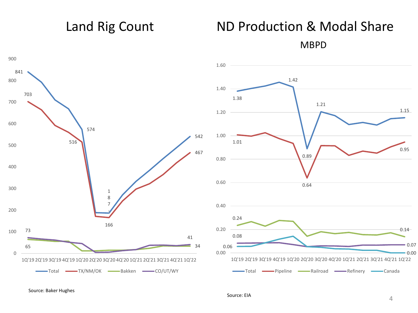## Land Rig Count ND Production & Modal Share

MBPD

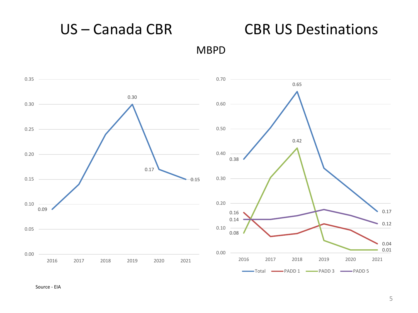

US – Canada CBR CBR US Destinations

Source - EIA